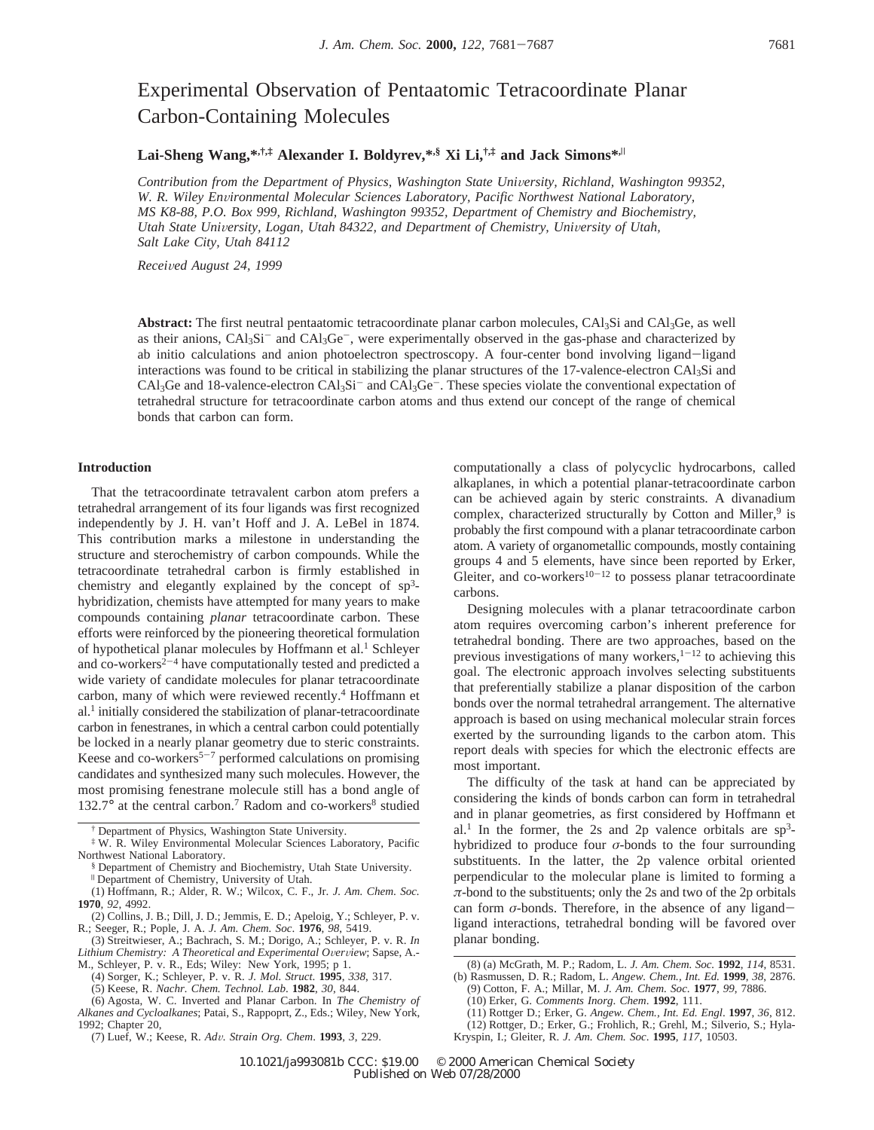# Experimental Observation of Pentaatomic Tetracoordinate Planar Carbon-Containing Molecules

# **Lai-Sheng Wang,\*,†,‡ Alexander I. Boldyrev,\*,§ Xi Li,†,‡ and Jack Simons\*,**<sup>|</sup>

*Contribution from the Department of Physics, Washington State University, Richland, Washington 99352, W. R. Wiley En*V*ironmental Molecular Sciences Laboratory, Pacific Northwest National Laboratory, MS K8-88, P.O. Box 999, Richland, Washington 99352, Department of Chemistry and Biochemistry, Utah State University, Logan, Utah 84322, and Department of Chemistry, University of Utah, Salt Lake City, Utah 84112*

*Recei*V*ed August 24, 1999*

**Abstract:** The first neutral pentaatomic tetracoordinate planar carbon molecules, CAl3Si and CAl3Ge, as well as their anions,  $CAl_3Si^-$  and  $CAl_3Ge^-$ , were experimentally observed in the gas-phase and characterized by ab initio calculations and anion photoelectron spectroscopy. A four-center bond involving ligand-ligand interactions was found to be critical in stabilizing the planar structures of the 17-valence-electron CAl3Si and  $CAl_3Ge$  and  $18$ -valence-electron  $CAl_3Si^-$  and  $CAl_3Ge^-$ . These species violate the conventional expectation of tetrahedral structure for tetracoordinate carbon atoms and thus extend our concept of the range of chemical bonds that carbon can form.

#### **Introduction**

That the tetracoordinate tetravalent carbon atom prefers a tetrahedral arrangement of its four ligands was first recognized independently by J. H. van't Hoff and J. A. LeBel in 1874. This contribution marks a milestone in understanding the structure and sterochemistry of carbon compounds. While the tetracoordinate tetrahedral carbon is firmly established in chemistry and elegantly explained by the concept of sp3 hybridization, chemists have attempted for many years to make compounds containing *planar* tetracoordinate carbon. These efforts were reinforced by the pioneering theoretical formulation of hypothetical planar molecules by Hoffmann et al.<sup>1</sup> Schleyer and co-workers<sup> $2-4$ </sup> have computationally tested and predicted a wide variety of candidate molecules for planar tetracoordinate carbon, many of which were reviewed recently.4 Hoffmann et al.1 initially considered the stabilization of planar-tetracoordinate carbon in fenestranes, in which a central carbon could potentially be locked in a nearly planar geometry due to steric constraints. Keese and co-workers<sup>5-7</sup> performed calculations on promising candidates and synthesized many such molecules. However, the most promising fenestrane molecule still has a bond angle of 132.7 $\degree$  at the central carbon.<sup>7</sup> Radom and co-workers<sup>8</sup> studied

(3) Streitwieser, A.; Bachrach, S. M.; Dorigo, A.; Schleyer, P. v. R. *In* Lithium Chemistry: A Theoretical and Experimental Overview; Sapse, A.-<br>M., Schleyer, P. v. R., Eds; Wiley: New York, 1995; p 1.

*Alkanes and Cycloalkanes*; Patai, S., Rappoprt, Z., Eds.; Wiley, New York, 1992; Chapter 20,

computationally a class of polycyclic hydrocarbons, called alkaplanes, in which a potential planar-tetracoordinate carbon can be achieved again by steric constraints. A divanadium complex, characterized structurally by Cotton and Miller, $9$  is probably the first compound with a planar tetracoordinate carbon atom. A variety of organometallic compounds, mostly containing groups 4 and 5 elements, have since been reported by Erker, Gleiter, and co-workers<sup>10-12</sup> to possess planar tetracoordinate carbons.

Designing molecules with a planar tetracoordinate carbon atom requires overcoming carbon's inherent preference for tetrahedral bonding. There are two approaches, based on the previous investigations of many workers, $1-12$  to achieving this goal. The electronic approach involves selecting substituents that preferentially stabilize a planar disposition of the carbon bonds over the normal tetrahedral arrangement. The alternative approach is based on using mechanical molecular strain forces exerted by the surrounding ligands to the carbon atom. This report deals with species for which the electronic effects are most important.

The difficulty of the task at hand can be appreciated by considering the kinds of bonds carbon can form in tetrahedral and in planar geometries, as first considered by Hoffmann et al.<sup>1</sup> In the former, the 2s and 2p valence orbitals are  $sp^3$ hybridized to produce four *σ*-bonds to the four surrounding substituents. In the latter, the 2p valence orbital oriented perpendicular to the molecular plane is limited to forming a  $\pi$ -bond to the substituents; only the 2s and two of the 2p orbitals can form  $\sigma$ -bonds. Therefore, in the absence of any ligandligand interactions, tetrahedral bonding will be favored over planar bonding.

<sup>†</sup> Department of Physics, Washington State University.

<sup>‡</sup> W. R. Wiley Environmental Molecular Sciences Laboratory, Pacific Northwest National Laboratory.

<sup>§</sup> Department of Chemistry and Biochemistry, Utah State University.

<sup>|</sup> Department of Chemistry, University of Utah.

<sup>(1)</sup> Hoffmann, R.; Alder, R. W.; Wilcox, C. F., Jr. *J. Am. Chem*. *Soc.* **1970**, *92*, 4992.

<sup>(2)</sup> Collins, J. B.; Dill, J. D.; Jemmis, E. D.; Apeloig, Y.; Schleyer, P. v. R.; Seeger, R.; Pople, J. A. *J. Am. Chem. Soc*. **1976**, *98*, 5419.

<sup>(4)</sup> Sorger, K.; Schleyer, P. v. R. *J. Mol. Struct*. **1995**, *338*, 317.

<sup>(5)</sup> Keese, R. *Nachr. Chem. Technol. Lab*. **1982**, *30*, 844.

<sup>(6)</sup> Agosta, W. C. Inverted and Planar Carbon. In *The Chemistry of*

<sup>(7)</sup> Luef, W.; Keese, R. *Ad*V*. Strain Org. Chem*. **<sup>1993</sup>**, *<sup>3</sup>*, 229.

<sup>(8) (</sup>a) McGrath, M. P.; Radom, L. *J. Am. Chem. Soc.* **1992**, *114*, 8531. (b) Rasmussen, D. R.; Radom, L. *Angew. Chem., Int. Ed.* **1999**, *38*, 2876. (9) Cotton, F. A.; Millar, M. *J. Am. Chem. Soc*. **1977**, *99*, 7886.

<sup>(10)</sup> Erker, G. *Comments Inorg*. *Chem*. **1992**, 111.

<sup>(11)</sup> Rottger D.; Erker, G. *Angew. Chem., Int. Ed. Engl*. **1997**, *36*, 812. (12) Rottger, D.; Erker, G.; Frohlich, R.; Grehl, M.; Silverio, S.; Hyla-

Kryspin, I.; Gleiter, R. *J. Am. Chem. Soc*. **1995**, *117*, 10503.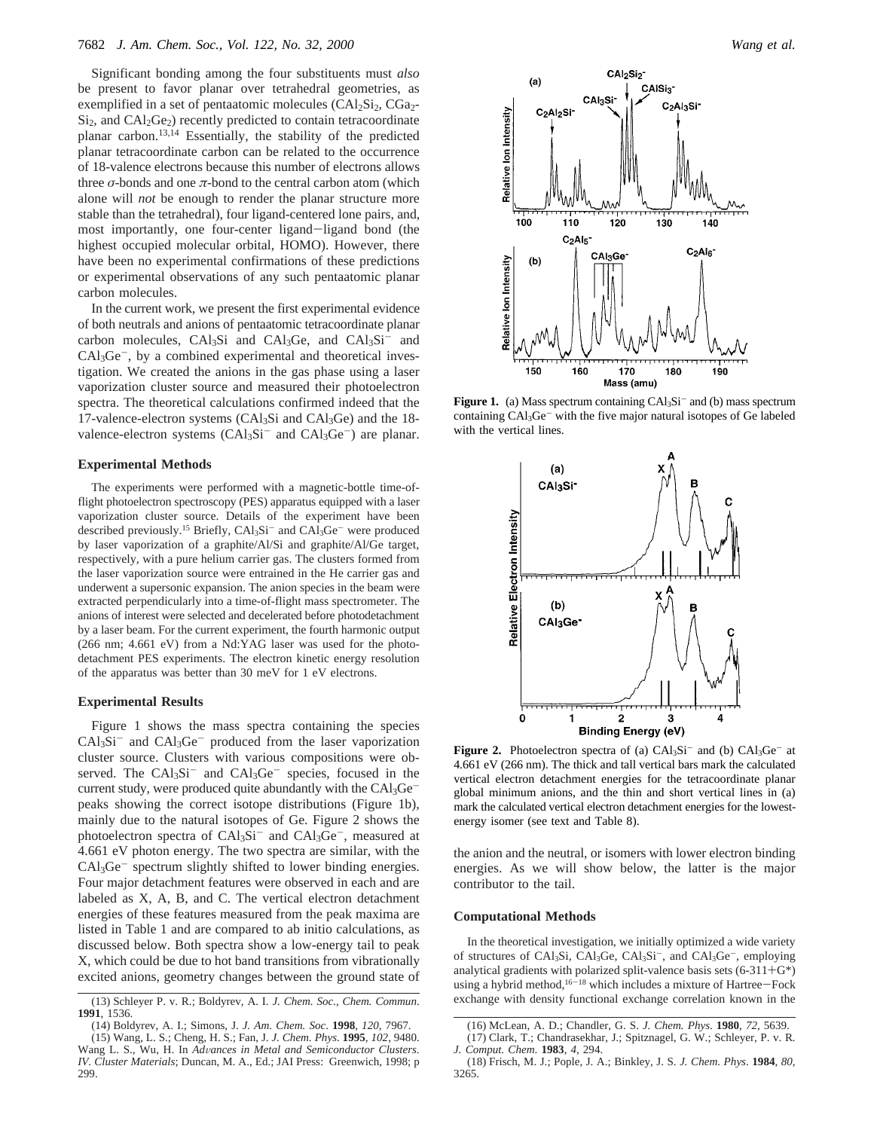Significant bonding among the four substituents must *also* be present to favor planar over tetrahedral geometries, as exemplified in a set of pentaatomic molecules  $(CAl<sub>2</sub>Si<sub>2</sub>, CGa<sub>2</sub>$  $Si<sub>2</sub>$ , and  $CA<sub>2</sub>Ge<sub>2</sub>$ ) recently predicted to contain tetracoordinate planar carbon.13,14 Essentially, the stability of the predicted planar tetracoordinate carbon can be related to the occurrence of 18-valence electrons because this number of electrons allows three  $\sigma$ -bonds and one  $\pi$ -bond to the central carbon atom (which alone will *not* be enough to render the planar structure more stable than the tetrahedral), four ligand-centered lone pairs, and, most importantly, one four-center ligand-ligand bond (the highest occupied molecular orbital, HOMO). However, there have been no experimental confirmations of these predictions or experimental observations of any such pentaatomic planar carbon molecules.

In the current work, we present the first experimental evidence of both neutrals and anions of pentaatomic tetracoordinate planar carbon molecules,  $CAl<sub>3</sub>Si$  and  $CAl<sub>3</sub>Ge$ , and  $CAl<sub>3</sub>Si$ <sup>-</sup> and  $CAl<sub>3</sub>Ge^{-}$ , by a combined experimental and theoretical investigation. We created the anions in the gas phase using a laser vaporization cluster source and measured their photoelectron spectra. The theoretical calculations confirmed indeed that the 17-valence-electron systems (CAl3Si and CAl3Ge) and the 18 valence-electron systems  $(CAl<sub>3</sub>Si<sup>-</sup>$  and  $Cal<sub>3</sub>Ge<sup>-</sup>)$  are planar.

# **Experimental Methods**

The experiments were performed with a magnetic-bottle time-offlight photoelectron spectroscopy (PES) apparatus equipped with a laser vaporization cluster source. Details of the experiment have been described previously.<sup>15</sup> Briefly,  $CAl_3Si^-$  and  $CAl_3Ge^-$  were produced by laser vaporization of a graphite/Al/Si and graphite/Al/Ge target, respectively, with a pure helium carrier gas. The clusters formed from the laser vaporization source were entrained in the He carrier gas and underwent a supersonic expansion. The anion species in the beam were extracted perpendicularly into a time-of-flight mass spectrometer. The anions of interest were selected and decelerated before photodetachment by a laser beam. For the current experiment, the fourth harmonic output (266 nm; 4.661 eV) from a Nd:YAG laser was used for the photodetachment PES experiments. The electron kinetic energy resolution of the apparatus was better than 30 meV for 1 eV electrons.

# **Experimental Results**

Figure 1 shows the mass spectra containing the species  $CAl<sub>3</sub>Si<sup>-</sup>$  and  $CAl<sub>3</sub>Ge<sup>-</sup>$  produced from the laser vaporization cluster source. Clusters with various compositions were observed. The  $CAl<sub>3</sub>Si<sup>-</sup>$  and  $CAl<sub>3</sub>Ge<sup>-</sup>$  species, focused in the current study, were produced quite abundantly with the  $CAl<sub>3</sub>Ge$ peaks showing the correct isotope distributions (Figure 1b), mainly due to the natural isotopes of Ge. Figure 2 shows the photoelectron spectra of  $CAl_3Si^-$  and  $CAl_3Ge^-$ , measured at 4.661 eV photon energy. The two spectra are similar, with the  $CAI<sub>3</sub>Ge^-$  spectrum slightly shifted to lower binding energies. Four major detachment features were observed in each and are labeled as X, A, B, and C. The vertical electron detachment energies of these features measured from the peak maxima are listed in Table 1 and are compared to ab initio calculations, as discussed below. Both spectra show a low-energy tail to peak X, which could be due to hot band transitions from vibrationally excited anions, geometry changes between the ground state of



**Figure 1.** (a) Mass spectrum containing CAl<sub>3</sub>Si<sup>-</sup> and (b) mass spectrum containing CAl<sub>3</sub>Ge<sup>-</sup> with the five major natural isotopes of Ge labeled with the vertical lines.



**Figure 2.** Photoelectron spectra of (a)  $CAI_3Si^-$  and (b)  $CAI_3Ge^-$  at 4.661 eV (266 nm). The thick and tall vertical bars mark the calculated vertical electron detachment energies for the tetracoordinate planar global minimum anions, and the thin and short vertical lines in (a) mark the calculated vertical electron detachment energies for the lowestenergy isomer (see text and Table 8).

the anion and the neutral, or isomers with lower electron binding energies. As we will show below, the latter is the major contributor to the tail.

# **Computational Methods**

In the theoretical investigation, we initially optimized a wide variety of structures of CAl3Si, CAl3Ge, CAl3Si-, and CAl3Ge-, employing analytical gradients with polarized split-valence basis sets  $(6-311+G^*)$ using a hybrid method,<sup>16-18</sup> which includes a mixture of Hartree-Fock exchange with density functional exchange correlation known in the

<sup>(13)</sup> Schleyer P. v. R.; Boldyrev, A. I. *J. Chem. Soc., Chem. Commun.* **1991**, 1536.

<sup>(14)</sup> Boldyrev, A. I.; Simons, J. *J. Am. Chem. Soc*. **1998**, *120*, 7967.

<sup>(15)</sup> Wang, L. S.; Cheng, H. S.; Fan, J. *J. Chem. Phys*. **1995**, *102*, 9480. Wang L. S., Wu, H. In *Ad*V*ances in Metal and Semiconductor Clusters. IV. Cluster Materials*; Duncan, M. A., Ed.; JAI Press: Greenwich, 1998; p 299.

<sup>(16)</sup> McLean, A. D.; Chandler, G. S. *J. Chem. Phys*. **1980**, *72*, 5639. (17) Clark, T.; Chandrasekhar, J.; Spitznagel, G. W.; Schleyer, P. v. R*.*

*J. Comput. Chem*. **1983**, *4*, 294.

<sup>(18)</sup> Frisch, M. J.; Pople, J. A.; Binkley, J. S. *J. Chem. Phys*. **1984**, *80*, 3265.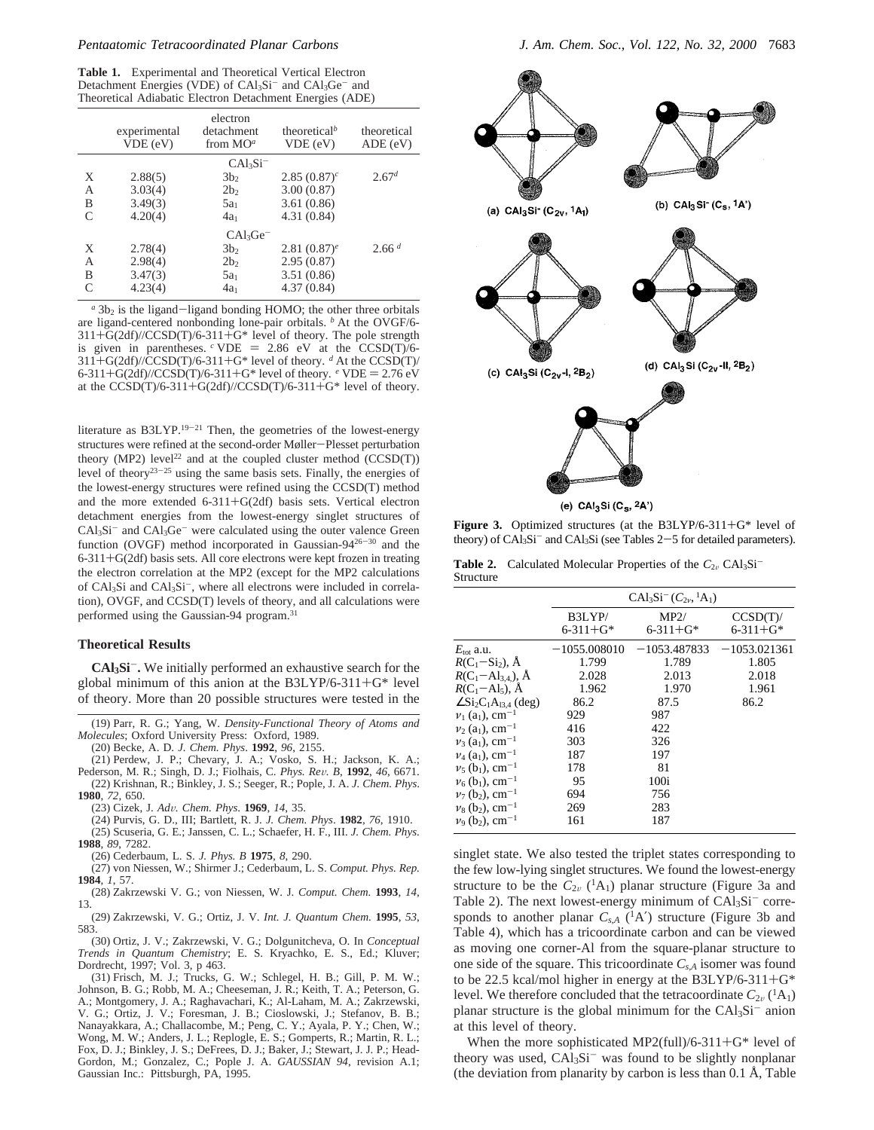#### *Pentaatomic Tetracoordinated Planar Carbons J. Am. Chem. Soc., Vol. 122, No. 32, 2000* 7683

**Table 1.** Experimental and Theoretical Vertical Electron Detachment Energies (VDE) of CAl<sub>3</sub>Si<sup>-</sup> and CAl<sub>3</sub>Ge<sup>-</sup> and Theoretical Adiabatic Electron Detachment Energies (ADE)

|           | experimental<br>VDE(eV) | electron<br>detachment<br>from $MO^a$ | theoretical <sup>b</sup><br>VDE(eV) | theoretical<br>ADE(eV) |
|-----------|-------------------------|---------------------------------------|-------------------------------------|------------------------|
|           |                         | $CAl3Si-$                             |                                     |                        |
| X         | 2.88(5)                 | 3b <sub>2</sub>                       | 2.85 $(0.87)^c$                     | 2.67 <sup>d</sup>      |
| A         | 3.03(4)                 | 2b <sub>2</sub>                       | 3.00(0.87)                          |                        |
| B         | 3.49(3)                 | $5a_1$                                | 3.61(0.86)                          |                        |
| C         | 4.20(4)                 | $4a_1$                                | 4.31(0.84)                          |                        |
|           |                         | $CAl3Ge-$                             |                                     |                        |
| X         | 2.78(4)                 | 3b <sub>2</sub>                       | 2.81 $(0.87)^e$                     | 2.66 <sup>d</sup>      |
| A         | 2.98(4)                 | 2b <sub>2</sub>                       | 2.95(0.87)                          |                        |
| B         | 3.47(3)                 | $5a_1$                                | 3.51(0.86)                          |                        |
| $\subset$ | 4.23(4)                 | $4a_1$                                | 4.37(0.84)                          |                        |

a<sup>2</sup> 3b<sub>2</sub> is the ligand-ligand bonding HOMO; the other three orbitals are ligand-centered nonbonding lone-pair orbitals.  $\frac{b}{c}$  At the OVGF/6-311+G(2df)//CCSD(T)/6-311+G\* level of theory. The pole strength  $311+G(2df)/CCSD(T)/6-311+G^*$  level of theory. The pole strength<br>is given in parentheses  $\epsilon$  VDE = 2.86 eV at the CCSD(T)/6is given in parentheses. <sup>*c*</sup> VDE = 2.86 eV at the CCSD(T)/6-311+G(2df)/(CCSD(T)/6-311+G<sup>\*</sup> level of theory. <sup>*d*</sup> At the CCSD(T)/  $311+G(2df)/\overline{CCSD(T)}$ /6-311+G\* level of theory. <sup>*d*</sup> At the CCSD(T)/ 6-311+G(2df)//CCSD(T)/6-311+G\* level of theory.  $e$  VDE = 2.76 eV at the CCSD(T)/6-311+G(2df)//CCSD(T)/6-311+G\* level of theory.

literature as B3LYP.<sup>19-21</sup> Then, the geometries of the lowest-energy structures were refined at the second-order Møller-Plesset perturbation theory (MP2) level<sup>22</sup> and at the coupled cluster method (CCSD(T)) level of theory<sup>23-25</sup> using the same basis sets. Finally, the energies of the lowest-energy structures were refined using the CCSD(T) method and the more extended 6-311+G(2df) basis sets. Vertical electron detachment energies from the lowest-energy singlet structures of  $CAl<sub>3</sub>Si<sup>-</sup>$  and  $CAl<sub>3</sub>Ge<sup>-</sup>$  were calculated using the outer valence Green function (OVGF) method incorporated in Gaussian-94<sup>26-30</sup> and the 6-311+G(2df) basis sets. All core electrons were kept frozen in treating the electron correlation at the MP2 (except for the MP2 calculations of CAl3Si and CAl3Si-, where all electrons were included in correlation), OVGF, and CCSD(T) levels of theory, and all calculations were performed using the Gaussian-94 program.31

# **Theoretical Results**

**CAl3Si**-**.** We initially performed an exhaustive search for the global minimum of this anion at the  $B3LYP/6-311+G^*$  level of theory. More than 20 possible structures were tested in the

(19) Parr, R. G.; Yang, W. *Density-Functional Theory of Atoms and Molecules*; Oxford University Press: Oxford, 1989.

(20) Becke, A. D. *J. Chem. Phys*. **1992**, *96*, 2155.

- (21) Perdew, J. P.; Chevary, J. A.; Vosko, S. H.; Jackson, K. A.; Pederson, M. R.; Singh, D. J.; Fiolhais, C. *Phys. Re*V*. B*, **<sup>1992</sup>**, *<sup>46</sup>*, 6671.
- (22) Krishnan, R.; Binkley, J. S.; Seeger, R.; Pople, J. A. *J. Chem. Phys*. **1980**, *72*, 650.
	- (23) Cizek, J. *Ad*V*. Chem. Phys*. **<sup>1969</sup>**, *<sup>14</sup>*, 35.
- (24) Purvis, G. D., III; Bartlett, R. J. *J. Chem. Phys*. **1982**, *76*, 1910. (25) Scuseria, G. E.; Janssen, C. L.; Schaefer, H. F., III. *J. Chem. Phys*.
- **1988**, *89*, 7282.
	- (26) Cederbaum, L. S. *J. Phys. B* **1975**, *8*, 290.
- (27) von Niessen, W.; Shirmer J.; Cederbaum, L. S. *Comput. Phys. Rep.* **1984**, *1*, 57.
- (28) Zakrzewski V. G.; von Niessen, W. J. *Comput. Chem.* **1993**, *14*, 13.
- (29) Zakrzewski, V. G.; Ortiz, J. V. *Int. J. Quantum Chem.* **1995**, *53*, 583.

(30) Ortiz, J. V.; Zakrzewski, V. G.; Dolgunitcheva, O. In *Conceptual Trends in Quantum Chemistry*; E. S. Kryachko, E. S., Ed.; Kluver; Dordrecht, 1997; Vol. 3, p 463.

(31) Frisch, M. J.; Trucks, G. W.; Schlegel, H. B.; Gill, P. M. W.; Johnson, B. G.; Robb, M. A.; Cheeseman, J. R.; Keith, T. A.; Peterson, G. A.; Montgomery, J. A.; Raghavachari, K.; Al-Laham, M. A.; Zakrzewski, V. G.; Ortiz, J. V.; Foresman, J. B.; Cioslowski, J.; Stefanov, B. B.; Nanayakkara, A.; Challacombe, M.; Peng, C. Y.; Ayala, P. Y.; Chen, W.; Wong, M. W.; Anders, J. L.; Replogle, E. S.; Gomperts, R.; Martin, R. L.; Fox, D. J.; Binkley, J. S.; DeFrees, D. J.; Baker, J.; Stewart, J. J. P.; Head-Gordon, M.; Gonzalez, C.; Pople J. A. *GAUSSIAN 94*, revision A.1; Gaussian Inc.: Pittsburgh, PA, 1995.



(e)  $CAI_3Si(C_S, 2A')$ 

Figure 3. Optimized structures (at the B3LYP/6-311+G\* level of theory) of  $CAl_3Si^-$  and  $CAl_3Si$  (see Tables 2-5 for detailed parameters).

**Table 2.** Calculated Molecular Properties of the  $C_{2v}$  CAl<sub>3</sub>Si<sup>-</sup> Structure

|                                                                 | $CAl_3Si^{-}(C_{2v}, {}^{1}A_1)$ |                        |                           |  |
|-----------------------------------------------------------------|----------------------------------|------------------------|---------------------------|--|
|                                                                 | B3LYP/<br>6-311+G*               | MP2/<br>$6 - 311 + G*$ | CCSD(T)<br>$6 - 311 + G*$ |  |
| $E_{\text{tot}}$ a.u.                                           | $-1055,008010$                   | $-1053.487833$         | $-1053.021361$            |  |
| $R(C_1-Si_2)$ , $\dot{A}$                                       | 1.799                            | 1.789                  | 1.805                     |  |
| $R(C_1 - Al_{3,4})$ , A                                         | 2.028                            | 2.013                  | 2.018                     |  |
| $R(C_1 - Al_5)$ , $\overline{A}$                                | 1.962                            | 1.970                  | 1.961                     |  |
| $\angle$ Si <sub>2</sub> C <sub>1</sub> A <sub>13.4</sub> (deg) | 86.2                             | 87.5                   | 86.2                      |  |
| $v_1$ (a <sub>1</sub> ), cm <sup>-1</sup>                       | 929                              | 987                    |                           |  |
| $v_2$ (a <sub>1</sub> ), cm <sup>-1</sup>                       | 416                              | 422                    |                           |  |
| $v_3$ (a <sub>1</sub> ), cm <sup>-1</sup>                       | 303                              | 326                    |                           |  |
| $v_4$ (a <sub>1</sub> ), cm <sup>-1</sup>                       | 187                              | 197                    |                           |  |
| $v_5$ (b <sub>1</sub> ), cm <sup>-1</sup>                       | 178                              | 81                     |                           |  |
| $v_6$ (b <sub>1</sub> ), cm <sup>-1</sup>                       | 95                               | 100i                   |                           |  |
| $v_7$ (b <sub>2</sub> ), cm <sup>-1</sup>                       | 694                              | 756                    |                           |  |
| $v_8$ (b <sub>2</sub> ), cm <sup>-1</sup>                       | 269                              | 283                    |                           |  |
| $v_9$ (b <sub>2</sub> ), cm <sup>-1</sup>                       | 161                              | 187                    |                           |  |

singlet state. We also tested the triplet states corresponding to the few low-lying singlet structures. We found the lowest-energy structure to be the  $C_{2v}$  (<sup>1</sup>A<sub>1</sub>) planar structure (Figure 3a and Table 2). The next lowest-energy minimum of  $CAl_3Si^-$  corresponds to another planar  $C_{s,A}$  (<sup>1</sup>A') structure (Figure 3b and Table 4), which has a tricoordinate carbon and can be viewed as moving one corner-Al from the square-planar structure to one side of the square. This tricoordinate *Cs*,*<sup>A</sup>* isomer was found to be 22.5 kcal/mol higher in energy at the B3LYP/6-311+G\* level. We therefore concluded that the tetracoordinate  $C_{2v}({}^{1}A_{1})$ planar structure is the global minimum for the  $CAI_3Si^-$  anion at this level of theory.

When the more sophisticated MP2(full)/6-311+ $G^*$  level of theory was used,  $CAl<sub>3</sub>Si<sup>-</sup>$  was found to be slightly nonplanar (the deviation from planarity by carbon is less than  $0.1 \text{ Å}$ , Table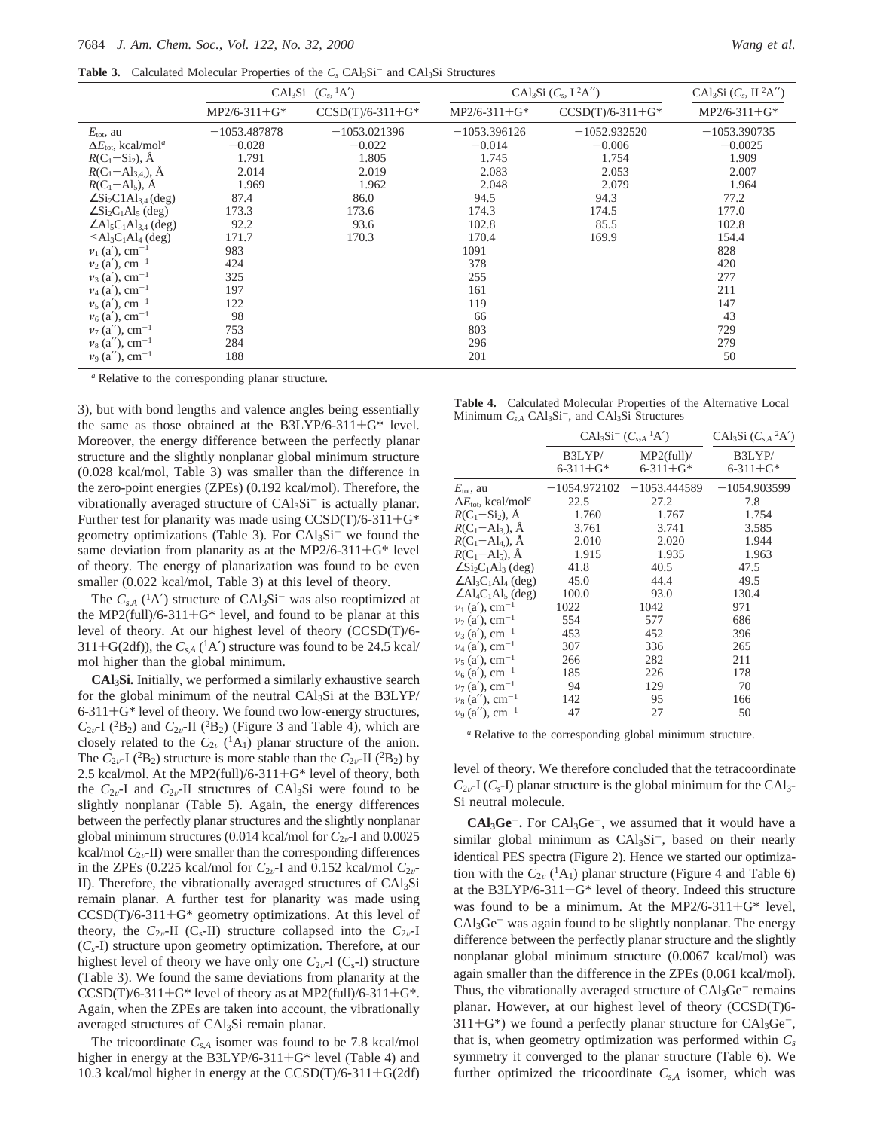**Table 3.** Calculated Molecular Properties of the  $C_s$  CAl<sub>3</sub>Si<sup>-</sup> and CAl<sub>3</sub>Si Structures

|                                                                 | $CAl_3Si^-(C_s, {}^1A')$ |                    | CAl <sub>3</sub> Si $(C_s, I^2A'')$ | CAl <sub>3</sub> Si $(C_s, \Pi^2A'')$ |                |
|-----------------------------------------------------------------|--------------------------|--------------------|-------------------------------------|---------------------------------------|----------------|
|                                                                 | $MP2/6-311+G*$           | $CCSD(T)/6-311+G*$ | $MP2/6-311+G*$                      | $CCSD(T)/6-311+G*$                    | $MP2/6-311+G*$ |
| $E_{\text{tot}}$ , au                                           | $-1053.487878$           | $-1053.021396$     | $-1053.396126$                      | $-1052.932520$                        | $-1053.390735$ |
| $\Delta E_{\text{tot}}$ , kcal/mol <sup>a</sup>                 | $-0.028$                 | $-0.022$           | $-0.014$                            | $-0.006$                              | $-0.0025$      |
| $R(C_1-Si_2)$ , Å                                               | 1.791                    | 1.805              | 1.745                               | 1.754                                 | 1.909          |
| $R(C_1 - Al_{3,4})$ , $\AA$                                     | 2.014                    | 2.019              | 2.083                               | 2.053                                 | 2.007          |
| $R(C_1 - Al_5)$ , $\AA$                                         | 1.969                    | 1.962              | 2.048                               | 2.079                                 | 1.964          |
| $\angle$ Si <sub>2</sub> C1Al <sub>3,4</sub> (deg)              | 87.4                     | 86.0               | 94.5                                | 94.3                                  | 77.2           |
| $\angle$ Si <sub>2</sub> C <sub>1</sub> Al <sub>5</sub> (deg)   | 173.3                    | 173.6              | 174.3                               | 174.5                                 | 177.0          |
| $\angle$ Al <sub>5</sub> C <sub>1</sub> Al <sub>3.4</sub> (deg) | 92.2                     | 93.6               | 102.8                               | 85.5                                  | 102.8          |
| $\leq$ Al <sub>3</sub> C <sub>1</sub> Al <sub>4</sub> (deg)     | 171.7                    | 170.3              | 170.4                               | 169.9                                 | 154.4          |
| $v_1$ (a'), cm <sup>-1</sup>                                    | 983                      |                    | 1091                                |                                       | 828            |
| $v_2$ (a'), cm <sup>-1</sup>                                    | 424                      |                    | 378                                 |                                       | 420            |
| $v_3$ (a'), cm <sup>-1</sup>                                    | 325                      |                    | 255                                 |                                       | 277            |
| $v_4$ (a'), cm <sup>-1</sup>                                    | 197                      |                    | 161                                 |                                       | 211            |
| $v_5$ (a'), cm <sup>-1</sup>                                    | 122                      |                    | 119                                 |                                       | 147            |
| $v_6$ (a'), cm <sup>-1</sup>                                    | 98                       |                    | 66                                  |                                       | 43             |
| $\nu_7$ (a''), cm <sup>-1</sup>                                 | 753                      |                    | 803                                 |                                       | 729            |
| $\nu_8$ (a''), cm <sup>-1</sup>                                 | 284                      |                    | 296                                 |                                       | 279            |
| $v_9$ (a''), cm <sup>-1</sup>                                   | 188                      |                    | 201                                 |                                       | 50             |

*<sup>a</sup>* Relative to the corresponding planar structure.

3), but with bond lengths and valence angles being essentially the same as those obtained at the B3LYP/6-311+G\* level. Moreover, the energy difference between the perfectly planar structure and the slightly nonplanar global minimum structure (0.028 kcal/mol, Table 3) was smaller than the difference in the zero-point energies (ZPEs) (0.192 kcal/mol). Therefore, the vibrationally averaged structure of  $CAl<sub>3</sub>Si<sup>-</sup>$  is actually planar. Further test for planarity was made using  $CCSD(T)/6-311+G^*$ geometry optimizations (Table 3). For  $CAl<sub>3</sub>Si<sup>-</sup>$  we found the same deviation from planarity as at the MP2/6-311+ $G^*$  level of theory. The energy of planarization was found to be even smaller (0.022 kcal/mol, Table 3) at this level of theory.

The  $C_{sA}$  (<sup>1</sup>A') structure of CAl<sub>3</sub>Si<sup>-</sup> was also reoptimized at the MP2(full)/6-311+ $G^*$  level, and found to be planar at this level of theory. At our highest level of theory (CCSD(T)/6-  $311+G(2df)$ , the  $C_{s,A}$  (<sup>1</sup>A') structure was found to be 24.5 kcal/ mol higher than the global minimum.

**CAl3Si.** Initially, we performed a similarly exhaustive search for the global minimum of the neutral  $CAl<sub>3</sub>Si$  at the B3LYP/  $6-311+G^*$  level of theory. We found two low-energy structures,  $C_{2v}$ -I (<sup>2</sup>B<sub>2</sub>) and  $C_{2v}$ -II (<sup>2</sup>B<sub>2</sub>) (Figure 3 and Table 4), which are closely related to the  $C_{2v}$  (<sup>1</sup>A<sub>1</sub>) planar structure of the anion. The  $C_{2v}$ -I (<sup>2</sup>B<sub>2</sub>) structure is more stable than the  $C_{2v}$ -II (<sup>2</sup>B<sub>2</sub>) by 2.5 kcal/mol. At the MP2(full)/6-311+G\* level of theory, both the  $C_{2v}$ -I and  $C_{2v}$ -II structures of CAl<sub>3</sub>Si were found to be slightly nonplanar (Table 5). Again, the energy differences between the perfectly planar structures and the slightly nonplanar global minimum structures (0.014 kcal/mol for  $C_{2v}$ -I and 0.0025 kcal/mol  $C_{2v}$ -II) were smaller than the corresponding differences in the ZPEs (0.225 kcal/mol for  $C_{2v}$ -I and 0.152 kcal/mol  $C_{2v}$ -II). Therefore, the vibrationally averaged structures of CAl3Si remain planar. A further test for planarity was made using  $CCSD(T)/6-311+G*$  geometry optimizations. At this level of theory, the  $C_{2v}$ -II (C<sub>s</sub>-II) structure collapsed into the  $C_{2v}$ -I (*Cs*-I) structure upon geometry optimization. Therefore, at our highest level of theory we have only one  $C_{2v}$ -I ( $C_s$ -I) structure (Table 3). We found the same deviations from planarity at the  $CCSD(T)/6-311+G*$  level of theory as at MP2(full)/6-311+ $G*$ . Again, when the ZPEs are taken into account, the vibrationally averaged structures of CAl3Si remain planar.

The tricoordinate *Cs*,*<sup>A</sup>* isomer was found to be 7.8 kcal/mol higher in energy at the B3LYP/6-311+G\* level (Table 4) and 10.3 kcal/mol higher in energy at the CCSD(T)/6-311+G(2df)

**Table 4.** Calculated Molecular Properties of the Alternative Local Minimum  $C_{s,A}$  CAl<sub>3</sub>Si<sup>-</sup>, and CAl<sub>3</sub>Si Structures

|                                                               |                           | $CAl_3Si^{-}(C_{s,A}^{-1}A')$ |                          |  |
|---------------------------------------------------------------|---------------------------|-------------------------------|--------------------------|--|
|                                                               | B3LYP/<br>$6 - 311 + G^*$ | MP2(full)<br>$6 - 311 + G^*$  | B3LYP/<br>$6 - 311 + G*$ |  |
| $E_{\text{tot}}$ , au                                         |                           | $-1054.972102 -1053.444589$   | $-1054.903599$           |  |
| $\Delta E_{\text{tot}}$ , kcal/mol <sup>a</sup>               | 22.5                      | 27.2                          | 7.8                      |  |
| $R(C_1-Si_2)$ , $\AA$                                         | 1.760                     | 1.767                         | 1.754                    |  |
| $R(C_1 - Al_3)$ , A                                           | 3.761                     | 3.741                         | 3.585                    |  |
| $R(C_1 - Al_4)$ , A                                           | 2.010                     | 2.020                         | 1.944                    |  |
| $R(C_1 - Al_5)$ , $\AA$                                       | 1.915                     | 1.935                         | 1.963                    |  |
| $\angle$ Si <sub>2</sub> C <sub>1</sub> Al <sub>3</sub> (deg) | 41.8                      | 40.5                          | 47.5                     |  |
| $\angle$ Al <sub>3</sub> C <sub>1</sub> Al <sub>4</sub> (deg) | 45.0                      | 44.4                          | 49.5                     |  |
| $\angle$ Al <sub>4</sub> C <sub>1</sub> Al <sub>5</sub> (deg) | 100.0                     | 93.0                          | 130.4                    |  |
| $v_1$ (a'), cm <sup>-1</sup>                                  | 1022                      | 1042                          | 971                      |  |
| $\nu_2$ (a'), cm <sup>-1</sup>                                | 554                       | 577                           | 686                      |  |
| $v_3$ (a'), cm <sup>-1</sup>                                  | 453                       | 452                           | 396                      |  |
| $v_4$ (a'), cm <sup>-1</sup>                                  | 307                       | 336                           | 265                      |  |
| $v_5$ (a'), cm <sup>-1</sup>                                  | 266                       | 282                           | 211                      |  |
| $v_6$ (a'), cm <sup>-1</sup>                                  | 185                       | 226                           | 178                      |  |
| $v_7$ (a'), cm <sup>-1</sup>                                  | 94                        | 129                           | 70                       |  |
| $v_8$ (a''), cm <sup>-1</sup>                                 | 142                       | 95                            | 166                      |  |
| $v_9$ (a''), cm <sup>-1</sup>                                 | 47                        | 27                            | 50                       |  |

*<sup>a</sup>* Relative to the corresponding global minimum structure.

level of theory. We therefore concluded that the tetracoordinate  $C_{2v}$ -I ( $C_s$ -I) planar structure is the global minimum for the CAl<sub>3</sub>-Si neutral molecule.

**CAl3Ge**-**.** For CAl3Ge-, we assumed that it would have a similar global minimum as  $CAl<sub>3</sub>Si<sup>-</sup>$ , based on their nearly identical PES spectra (Figure 2). Hence we started our optimization with the  $C_{2v}$  (<sup>1</sup>A<sub>1</sub>) planar structure (Figure 4 and Table 6) at the B3LYP/6-311+ $G^*$  level of theory. Indeed this structure was found to be a minimum. At the MP2/6-311+ $G^*$  level,  $CAI<sub>3</sub>Ge<sup>-</sup>$  was again found to be slightly nonplanar. The energy difference between the perfectly planar structure and the slightly nonplanar global minimum structure (0.0067 kcal/mol) was again smaller than the difference in the ZPEs (0.061 kcal/mol). Thus, the vibrationally averaged structure of  $CAI<sub>3</sub>Ge<sup>-</sup>$  remains planar. However, at our highest level of theory (CCSD(T)6-  $311+G^*$ ) we found a perfectly planar structure for  $CAI_3Ge^-$ , that is, when geometry optimization was performed within *Cs* symmetry it converged to the planar structure (Table 6). We further optimized the tricoordinate *Cs*,*<sup>A</sup>* isomer, which was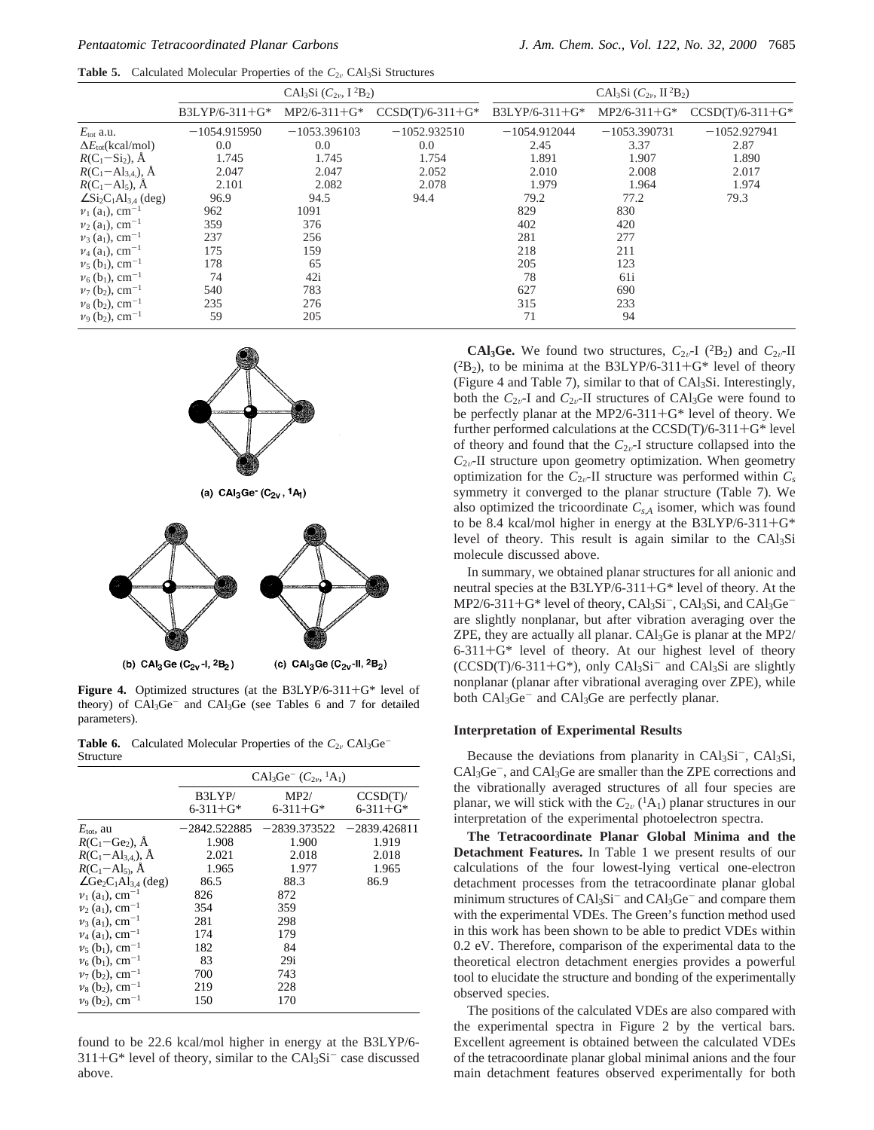**Table 5.** Calculated Molecular Properties of the  $C_{2v}$  CAl<sub>3</sub>Si Structures

|                                                                 | $CAl_3Si (C_{2v}, I^2B_2)$ |                |                    | CAl <sub>3</sub> Si $(C_{2\nu}$ , II <sup>2</sup> B <sub>2</sub> ) |                |                    |
|-----------------------------------------------------------------|----------------------------|----------------|--------------------|--------------------------------------------------------------------|----------------|--------------------|
|                                                                 | $B3LYP/6-311+G*$           | $MP2/6-311+G*$ | $CCSD(T)/6-311+G*$ | $B3LYP/6-311+G*$                                                   | $MP2/6-311+G*$ | $CCSD(T)/6-311+G*$ |
| $E_{\text{tot}}$ a.u.                                           | $-1054.915950$             | $-1053.396103$ | $-1052.932510$     | $-1054.912044$                                                     | $-1053.390731$ | $-1052.927941$     |
| $\Delta E_{\text{tot}}(\text{kcal/mol})$                        | 0.0                        | 0.0            | $0.0\,$            | 2.45                                                               | 3.37           | 2.87               |
| $R(C_1-Si_2)$ , Å                                               | 1.745                      | 1.745          | 1.754              | 1.891                                                              | 1.907          | 1.890              |
| $R(C_1 - Al_{3,4})$ , Å                                         | 2.047                      | 2.047          | 2.052              | 2.010                                                              | 2.008          | 2.017              |
| $R(C_1 - Al_5)$ , $\AA$                                         | 2.101                      | 2.082          | 2.078              | 1.979                                                              | 1.964          | 1.974              |
| $\angle$ Si <sub>2</sub> C <sub>1</sub> Al <sub>3,4</sub> (deg) | 96.9                       | 94.5           | 94.4               | 79.2                                                               | 77.2           | 79.3               |
| $v_1$ (a <sub>1</sub> ), cm <sup>-1</sup>                       | 962                        | 1091           |                    | 829                                                                | 830            |                    |
| $v_2$ (a <sub>1</sub> ), cm <sup>-1</sup>                       | 359                        | 376            |                    | 402                                                                | 420            |                    |
| $v_3$ (a <sub>1</sub> ), cm <sup>-1</sup>                       | 237                        | 256            |                    | 281                                                                | 277            |                    |
| $v_4$ (a <sub>1</sub> ), cm <sup>-1</sup>                       | 175                        | 159            |                    | 218                                                                | 211            |                    |
| $\nu_5$ (b <sub>1</sub> ), cm <sup>-1</sup>                     | 178                        | 65             |                    | 205                                                                | 123            |                    |
| $v_6$ (b <sub>1</sub> ), cm <sup>-1</sup>                       | 74                         | 42i            |                    | 78                                                                 | 61i            |                    |
| $v_7$ (b <sub>2</sub> ), cm <sup>-1</sup>                       | 540                        | 783            |                    | 627                                                                | 690            |                    |
| $\nu_8$ (b <sub>2</sub> ), cm <sup>-1</sup>                     | 235                        | 276            |                    | 315                                                                | 233            |                    |
| $v_9$ (b <sub>2</sub> ), cm <sup>-1</sup>                       | 59                         | 205            |                    | 71                                                                 | 94             |                    |



**Figure 4.** Optimized structures (at the B3LYP/6-311+G\* level of theory) of CAl<sub>3</sub>Ge<sup>-</sup> and CAl<sub>3</sub>Ge (see Tables 6 and 7 for detailed parameters).

(c)  $CAI_3Ge(C_{2v}$ -II,  $2B_2)$ 

**Table 6.** Calculated Molecular Properties of the  $C_{2v}$  CAl<sub>3</sub>Ge<sup>-</sup> Structure

(b)  $CAI_3Ge(C_{2v}I, 2B_2)$ 

|                                                                 | $CAl_3Ge^{-}(C_{2\nu}, {}^{1}A_1)$ |                        |                           |  |
|-----------------------------------------------------------------|------------------------------------|------------------------|---------------------------|--|
|                                                                 | B3LYP/<br>$6 - 311 + G^*$          | MP2/<br>$6 - 311 + G*$ | CCSD(T)<br>$6 - 311 + G*$ |  |
| $E_{\rm tot}$ , au                                              | $-2842.522885$                     | –2839.373522           | $-2839.426811$            |  |
| $R(C_1 - Ge_2)$ , A                                             | 1.908                              | 1.900                  | 1.919                     |  |
| $R(C_1 - Al_{3,4})$ , $\AA$                                     | 2.021                              | 2.018                  | 2.018                     |  |
| $R(C_1 - Al_5)$ , $\AA$                                         | 1.965                              | 1.977                  | 1.965                     |  |
| $\angle$ Ge <sub>2</sub> C <sub>1</sub> Al <sub>3.4</sub> (deg) | 86.5                               | 88.3                   | 86.9                      |  |
| $v_1$ (a <sub>1</sub> ), cm <sup>-1</sup>                       | 826                                | 872                    |                           |  |
| $v_2$ (a <sub>1</sub> ), cm <sup>-1</sup>                       | 354                                | 359                    |                           |  |
| $v_3$ (a <sub>1</sub> ), cm <sup>-1</sup>                       | 281                                | 298                    |                           |  |
| $v_4$ (a <sub>1</sub> ), cm <sup>-1</sup>                       | 174                                | 179                    |                           |  |
| $v_5$ (b <sub>1</sub> ), cm <sup>-1</sup>                       | 182                                | 84                     |                           |  |
| $v_6$ (b <sub>1</sub> ), cm <sup>-1</sup>                       | 83                                 | 29i                    |                           |  |
| $v_7$ (b <sub>2</sub> ), cm <sup>-1</sup>                       | 700                                | 743                    |                           |  |
| $v_8$ (b <sub>2</sub> ), cm <sup>-1</sup>                       | 219                                | 228                    |                           |  |
| $v_9$ (b <sub>2</sub> ), cm <sup>-1</sup>                       | 150                                | 170                    |                           |  |

found to be 22.6 kcal/mol higher in energy at the B3LYP/6-  $311+G^*$  level of theory, similar to the  $CAl_3Si^-$  case discussed above.

**CAl<sub>3</sub>Ge.** We found two structures,  $C_{2v}$ -I (<sup>2</sup>B<sub>2</sub>) and  $C_{2v}$ -II  $(^{2}B_{2})$ , to be minima at the B3LYP/6-311+G\* level of theory (Figure 4 and Table 7), similar to that of CAl3Si. Interestingly, both the  $C_{2v}$ -I and  $C_{2v}$ -II structures of CAl<sub>3</sub>Ge were found to be perfectly planar at the MP2/6-311+G\* level of theory. We further performed calculations at the CCSD(T)/6-311+G\* level of theory and found that the  $C_{2v}$ -I structure collapsed into the  $C_{2v}$ -II structure upon geometry optimization. When geometry optimization for the  $C_{2v}$ -II structure was performed within  $C_s$ symmetry it converged to the planar structure (Table 7). We also optimized the tricoordinate *Cs*,*<sup>A</sup>* isomer, which was found to be 8.4 kcal/mol higher in energy at the B3LYP/6-311+G\* level of theory. This result is again similar to the CAl3Si molecule discussed above.

In summary, we obtained planar structures for all anionic and neutral species at the B3LYP/6-311+G\* level of theory. At the MP2/6-311+G\* level of theory, CAl<sub>3</sub>Si<sup>-</sup>, CAl<sub>3</sub>Si, and CAl<sub>3</sub>Ge<sup>-</sup> are slightly nonplanar, but after vibration averaging over the ZPE, they are actually all planar.  $CAl<sub>3</sub>Ge$  is planar at the MP2/  $6-311+G^*$  level of theory. At our highest level of theory  $(CCSD(T)/6-311+G^*)$ , only  $CAl_3Si^-$  and  $CAl_3Si$  are slightly nonplanar (planar after vibrational averaging over ZPE), while both CAl<sub>3</sub>Ge<sup>-</sup> and CAl<sub>3</sub>Ge are perfectly planar.

# **Interpretation of Experimental Results**

Because the deviations from planarity in  $CAI_3Si^-$ ,  $CAI_3Si$ ,  $CA<sub>3</sub>Ge<sup>-</sup>$ , and  $CA<sub>3</sub>Ge$  are smaller than the ZPE corrections and the vibrationally averaged structures of all four species are planar, we will stick with the  $C_{2v}({}^{1}A_{1})$  planar structures in our interpretation of the experimental photoelectron spectra.

**The Tetracoordinate Planar Global Minima and the Detachment Features.** In Table 1 we present results of our calculations of the four lowest-lying vertical one-electron detachment processes from the tetracoordinate planar global minimum structures of  $CAl_3Si^-$  and  $CAl_3Ge^-$  and compare them with the experimental VDEs. The Green's function method used in this work has been shown to be able to predict VDEs within 0.2 eV. Therefore, comparison of the experimental data to the theoretical electron detachment energies provides a powerful tool to elucidate the structure and bonding of the experimentally observed species.

The positions of the calculated VDEs are also compared with the experimental spectra in Figure 2 by the vertical bars. Excellent agreement is obtained between the calculated VDEs of the tetracoordinate planar global minimal anions and the four main detachment features observed experimentally for both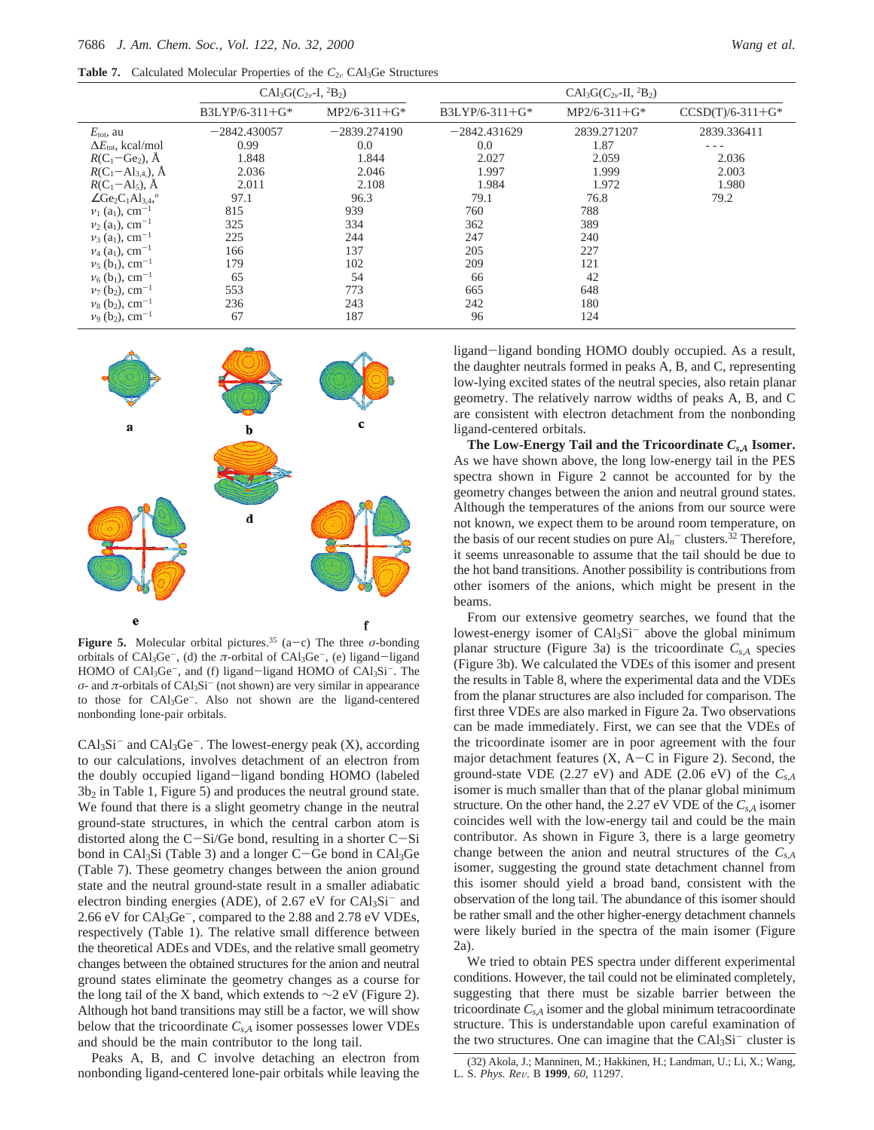**Table 7.** Calculated Molecular Properties of the  $C_{2v}$  CAl<sub>3</sub>Ge Structures

|                                                                          | $CAl_3G(C_{2\nu}I, {}^2B_2)$ |                |                  | $CAl_3G(C_{2\nu}$ -II, <sup>2</sup> B <sub>2</sub> ) |                    |  |
|--------------------------------------------------------------------------|------------------------------|----------------|------------------|------------------------------------------------------|--------------------|--|
|                                                                          | $B3LYP/6-311+G*$             | $MP2/6-311+G*$ | $B3LYP/6-311+G*$ | $MP2/6-311+G*$                                       | $CCSD(T)/6-311+G*$ |  |
| $E_{\text{tot}}$ , au                                                    | $-2842.430057$               | $-2839.274190$ | $-2842.431629$   | 2839.271207                                          | 2839.336411        |  |
| $\Delta E_{\text{tot}}$ , kcal/mol                                       | 0.99                         | 0.0            | 0.0              | 1.87                                                 |                    |  |
| $R(C_1 - Ge_2)$ , Å                                                      | 1.848                        | 1.844          | 2.027            | 2.059                                                | 2.036              |  |
| $R(C_1 - Al_{3,4})$ , $\AA$                                              | 2.036                        | 2.046          | 1.997            | 1.999                                                | 2.003              |  |
| $R(C_1 - Al_5)$ , $\dot{A}$                                              | 2.011                        | 2.108          | 1.984            | 1.972                                                | 1.980              |  |
| $\angle$ Ge <sub>2</sub> C <sub>1</sub> Al <sub>3.4</sub> , <sup>o</sup> | 97.1                         | 96.3           | 79.1             | 76.8                                                 | 79.2               |  |
| $v_1$ (a <sub>1</sub> ), cm <sup>-1</sup>                                | 815                          | 939            | 760              | 788                                                  |                    |  |
| $v_2$ (a <sub>1</sub> ), cm <sup>-1</sup>                                | 325                          | 334            | 362              | 389                                                  |                    |  |
| $v_3$ (a <sub>1</sub> ), cm <sup>-1</sup>                                | 225                          | 244            | 247              | 240                                                  |                    |  |
| $v_4$ (a <sub>1</sub> ), cm <sup>-1</sup>                                | 166                          | 137            | 205              | 227                                                  |                    |  |
| $v_5$ (b <sub>1</sub> ), cm <sup>-1</sup>                                | 179                          | 102            | 209              | 121                                                  |                    |  |
| $v_6$ (b <sub>1</sub> ), cm <sup>-1</sup>                                | 65                           | 54             | 66               | 42                                                   |                    |  |
| $v_7$ (b <sub>2</sub> ), cm <sup>-1</sup>                                | 553                          | 773            | 665              | 648                                                  |                    |  |
| $v_8$ (b <sub>2</sub> ), cm <sup>-1</sup>                                | 236                          | 243            | 242              | 180                                                  |                    |  |
| $v_9$ (b <sub>2</sub> ), cm <sup>-1</sup>                                | 67                           | 187            | 96               | 124                                                  |                    |  |



**Figure 5.** Molecular orbital pictures.<sup>35</sup> (a-c) The three  $\sigma$ -bonding orbitals of  $CAI_3Ge^-$ , (d) the  $\pi$ -orbital of  $CAI_3Ge^-$ , (e) ligand-ligand HOMO of CAl<sub>3</sub>Ge<sup>-</sup>, and (f) ligand-ligand HOMO of CAl<sub>3</sub>Si<sup>-</sup>. The  $\sigma$ - and  $\pi$ -orbitals of CAl<sub>3</sub>Si<sup>-</sup> (not shown) are very similar in appearance to those for CAl3Ge-. Also not shown are the ligand-centered nonbonding lone-pair orbitals.

 $CAl<sub>3</sub>Si<sup>-</sup>$  and  $CAl<sub>3</sub>Ge<sup>-</sup>$ . The lowest-energy peak  $(X)$ , according to our calculations, involves detachment of an electron from the doubly occupied ligand-ligand bonding HOMO (labeled  $3b<sub>2</sub>$  in Table 1, Figure 5) and produces the neutral ground state. We found that there is a slight geometry change in the neutral ground-state structures, in which the central carbon atom is distorted along the  $C-Si/Ge$  bond, resulting in a shorter  $C-Si$ bond in CAl<sub>3</sub>Si (Table 3) and a longer C-Ge bond in CAl<sub>3</sub>Ge (Table 7). These geometry changes between the anion ground state and the neutral ground-state result in a smaller adiabatic electron binding energies (ADE), of 2.67 eV for CAl<sub>3</sub>Si<sup>-</sup> and 2.66 eV for CAl<sub>3</sub>Ge<sup>-</sup>, compared to the 2.88 and 2.78 eV VDEs, respectively (Table 1). The relative small difference between the theoretical ADEs and VDEs, and the relative small geometry changes between the obtained structures for the anion and neutral ground states eliminate the geometry changes as a course for the long tail of the X band, which extends to  $\sim$ 2 eV (Figure 2). Although hot band transitions may still be a factor, we will show below that the tricoordinate *Cs*,*<sup>A</sup>* isomer possesses lower VDEs and should be the main contributor to the long tail.

Peaks A, B, and C involve detaching an electron from nonbonding ligand-centered lone-pair orbitals while leaving the

ligand-ligand bonding HOMO doubly occupied. As a result, the daughter neutrals formed in peaks A, B, and C, representing low-lying excited states of the neutral species, also retain planar geometry. The relatively narrow widths of peaks A, B, and C are consistent with electron detachment from the nonbonding ligand-centered orbitals.

**The Low-Energy Tail and the Tricoordinate** *Cs***,***<sup>A</sup>* **Isomer.** As we have shown above, the long low-energy tail in the PES spectra shown in Figure 2 cannot be accounted for by the geometry changes between the anion and neutral ground states. Although the temperatures of the anions from our source were not known, we expect them to be around room temperature, on the basis of our recent studies on pure  $Al_n^-$  clusters.<sup>32</sup> Therefore, it seems unreasonable to assume that the tail should be due to the hot band transitions. Another possibility is contributions from other isomers of the anions, which might be present in the beams.

From our extensive geometry searches, we found that the lowest-energy isomer of CAl<sub>3</sub>Si<sup>-</sup> above the global minimum planar structure (Figure 3a) is the tricoordinate  $C_{s,A}$  species (Figure 3b). We calculated the VDEs of this isomer and present the results in Table 8, where the experimental data and the VDEs from the planar structures are also included for comparison. The first three VDEs are also marked in Figure 2a. Two observations can be made immediately. First, we can see that the VDEs of the tricoordinate isomer are in poor agreement with the four major detachment features (X, A-C in Figure 2). Second, the ground-state VDE (2.27 eV) and ADE (2.06 eV) of the *Cs*,*<sup>A</sup>* isomer is much smaller than that of the planar global minimum structure. On the other hand, the 2.27 eV VDE of the  $C_{s,A}$  isomer coincides well with the low-energy tail and could be the main contributor. As shown in Figure 3, there is a large geometry change between the anion and neutral structures of the *Cs*,*<sup>A</sup>* isomer, suggesting the ground state detachment channel from this isomer should yield a broad band, consistent with the observation of the long tail. The abundance of this isomer should be rather small and the other higher-energy detachment channels were likely buried in the spectra of the main isomer (Figure 2a).

We tried to obtain PES spectra under different experimental conditions. However, the tail could not be eliminated completely, suggesting that there must be sizable barrier between the tricoordinate  $C_{s,A}$  isomer and the global minimum tetracoordinate structure. This is understandable upon careful examination of the two structures. One can imagine that the  $CAl<sub>3</sub>Si<sup>-</sup> cluster is$ 

<sup>(32)</sup> Akola, J.; Manninen, M.; Hakkinen, H.; Landman, U.; Li, X.; Wang, L. S. *Phys. Re*V. B **<sup>1999</sup>**, *<sup>60</sup>*, 11297.